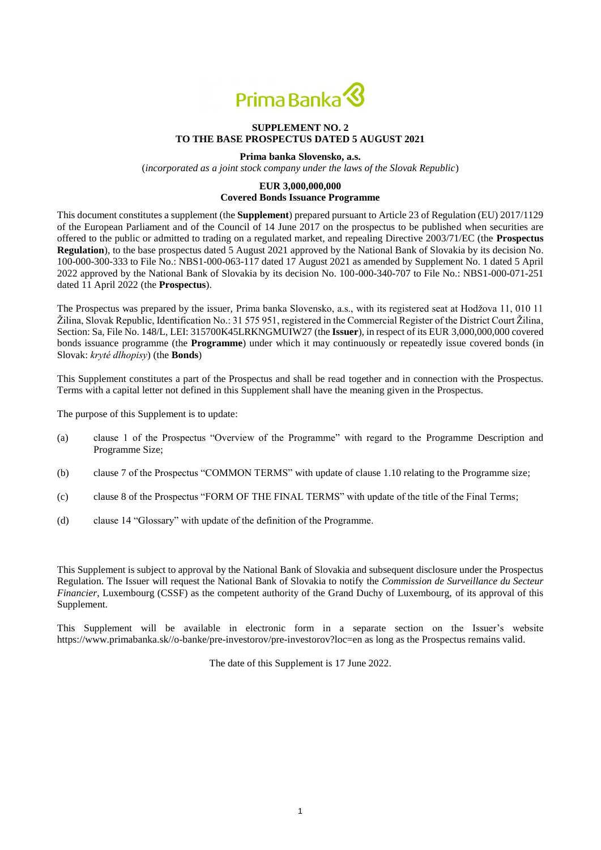

### **SUPPLEMENT NO. 2 TO THE BASE PROSPECTUS DATED 5 AUGUST 2021**

#### **Prima banka Slovensko, a.s.**

(*incorporated as a joint stock company under the laws of the Slovak Republic*)

#### **EUR 3,000,000,000**

#### **Covered Bonds Issuance Programme**

This document constitutes a supplement (the **Supplement**) prepared pursuant to Article 23 of Regulation (EU) 2017/1129 of the European Parliament and of the Council of 14 June 2017 on the prospectus to be published when securities are offered to the public or admitted to trading on a regulated market, and repealing Directive 2003/71/EC (the **Prospectus Regulation**), to the base prospectus dated 5 August 2021 approved by the National Bank of Slovakia by its decision No. 100-000-300-333 to File No.: NBS1-000-063-117 dated 17 August 2021 as amended by Supplement No. 1 dated 5 April 2022 approved by the National Bank of Slovakia by its decision No. 100-000-340-707 to File No.: NBS1-000-071-251 dated 11 April 2022 (the **Prospectus**).

The Prospectus was prepared by the issuer, Prima banka Slovensko, a.s., with its registered seat at Hodžova 11, 010 11 Žilina, Slovak Republic, Identification No.: 31 575 951, registered in the Commercial Register of the District Court Žilina, Section: Sa, File No. 148/L, LEI: 315700K45LRKNGMUIW27 (the **Issuer**), in respect of its EUR 3,000,000,000 covered bonds issuance programme (the **Programme**) under which it may continuously or repeatedly issue covered bonds (in Slovak: *kryté dlhopisy*) (the **Bonds**)

This Supplement constitutes a part of the Prospectus and shall be read together and in connection with the Prospectus. Terms with a capital letter not defined in this Supplement shall have the meaning given in the Prospectus.

The purpose of this Supplement is to update:

- (a) clause 1 of the Prospectus "Overview of the Programme" with regard to the Programme Description and Programme Size;
- (b) clause 7 of the Prospectus "COMMON TERMS" with update of clause 1.10 relating to the Programme size;
- (c) clause 8 of the Prospectus "FORM OF THE FINAL TERMS" with update of the title of the Final Terms;
- (d) clause 14 "Glossary" with update of the definition of the Programme.

This Supplement is subject to approval by the National Bank of Slovakia and subsequent disclosure under the Prospectus Regulation. The Issuer will request the National Bank of Slovakia to notify the *Commission de Surveillance du Secteur Financier*, Luxembourg (CSSF) as the competent authority of the Grand Duchy of Luxembourg, of its approval of this Supplement.

This Supplement will be available in electronic form in a separate section on the Issuer's website https://www.primabanka.sk//o-banke/pre-investorov/pre-investorov?loc=en as long as the Prospectus remains valid.

The date of this Supplement is 17 June 2022.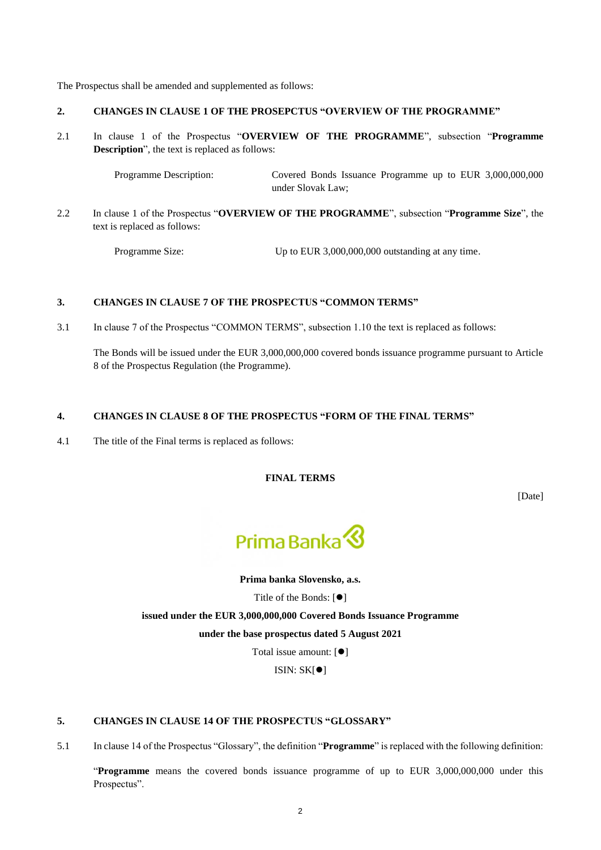The Prospectus shall be amended and supplemented as follows:

# **2. CHANGES IN CLAUSE 1 OF THE PROSEPCTUS "OVERVIEW OF THE PROGRAMME"**

2.1 In clause 1 of the Prospectus "**OVERVIEW OF THE PROGRAMME**", subsection "**Programme Description**", the text is replaced as follows:

> Programme Description: Covered Bonds Issuance Programme up to EUR 3,000,000,000 under Slovak Law;

2.2 In clause 1 of the Prospectus "**OVERVIEW OF THE PROGRAMME**", subsection "**Programme Size**", the text is replaced as follows:

Programme Size: Up to EUR 3,000,000,000 outstanding at any time.

# **3. CHANGES IN CLAUSE 7 OF THE PROSPECTUS "COMMON TERMS"**

3.1 In clause 7 of the Prospectus "COMMON TERMS", subsection 1.10 the text is replaced as follows:

The Bonds will be issued under the EUR 3,000,000,000 covered bonds issuance programme pursuant to Article 8 of the Prospectus Regulation (the Programme).

# **4. CHANGES IN CLAUSE 8 OF THE PROSPECTUS "FORM OF THE FINAL TERMS"**

4.1 The title of the Final terms is replaced as follows:

**FINAL TERMS**

[Date]



**Prima banka Slovensko, a.s.**

Title of the Bonds:  $[①]$ 

**issued under the EUR 3,000,000,000 Covered Bonds Issuance Programme** 

**under the base prospectus dated 5 August 2021**

Total issue amount:  $[①]$ 

 $ISIN: SK[<sup>•</sup>]$ 

# **5. CHANGES IN CLAUSE 14 OF THE PROSPECTUS "GLOSSARY"**

5.1 In clause 14 of the Prospectus "Glossary", the definition "**Programme**" is replaced with the following definition:

"**Programme** means the covered bonds issuance programme of up to EUR 3,000,000,000 under this Prospectus".